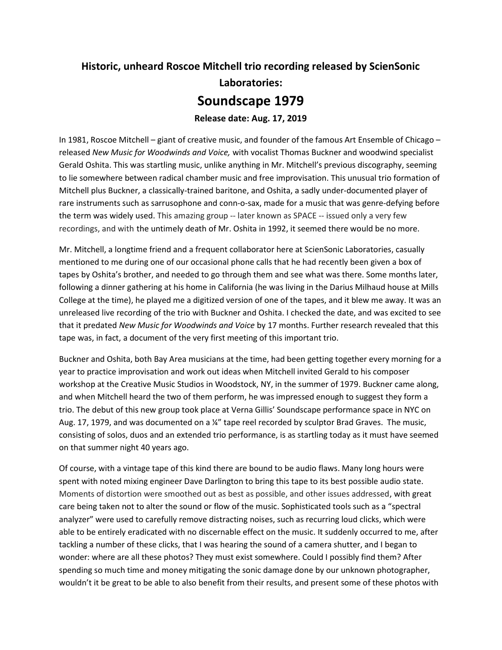## Historic, unheard Roscoe Mitchell trio recording released by ScienSonic Laboratories: Soundscape 1979 Release date: Aug. 17, 2019

In 1981, Roscoe Mitchell – giant of creative music, and founder of the famous Art Ensemble of Chicago – released New Music for Woodwinds and Voice, with vocalist Thomas Buckner and woodwind specialist Gerald Oshita. This was startling music, unlike anything in Mr. Mitchell's previous discography, seeming to lie somewhere between radical chamber music and free improvisation. This unusual trio formation of Mitchell plus Buckner, a classically-trained baritone, and Oshita, a sadly under-documented player of rare instruments such as sarrusophone and conn-o-sax, made for a music that was genre-defying before the term was widely used. This amazing group -- later known as SPACE -- issued only a very few recordings, and with the untimely death of Mr. Oshita in 1992, it seemed there would be no more.

Mr. Mitchell, a longtime friend and a frequent collaborator here at ScienSonic Laboratories, casually mentioned to me during one of our occasional phone calls that he had recently been given a box of tapes by Oshita's brother, and needed to go through them and see what was there. Some months later, following a dinner gathering at his home in California (he was living in the Darius Milhaud house at Mills College at the time), he played me a digitized version of one of the tapes, and it blew me away. It was an unreleased live recording of the trio with Buckner and Oshita. I checked the date, and was excited to see that it predated New Music for Woodwinds and Voice by 17 months. Further research revealed that this tape was, in fact, a document of the very first meeting of this important trio.

Buckner and Oshita, both Bay Area musicians at the time, had been getting together every morning for a year to practice improvisation and work out ideas when Mitchell invited Gerald to his composer workshop at the Creative Music Studios in Woodstock, NY, in the summer of 1979. Buckner came along, and when Mitchell heard the two of them perform, he was impressed enough to suggest they form a trio. The debut of this new group took place at Verna Gillis' Soundscape performance space in NYC on Aug. 17, 1979, and was documented on a 14" tape reel recorded by sculptor Brad Graves. The music, consisting of solos, duos and an extended trio performance, is as startling today as it must have seemed on that summer night 40 years ago.

Of course, with a vintage tape of this kind there are bound to be audio flaws. Many long hours were spent with noted mixing engineer Dave Darlington to bring this tape to its best possible audio state. Moments of distortion were smoothed out as best as possible, and other issues addressed, with great care being taken not to alter the sound or flow of the music. Sophisticated tools such as a "spectral analyzer" were used to carefully remove distracting noises, such as recurring loud clicks, which were able to be entirely eradicated with no discernable effect on the music. It suddenly occurred to me, after tackling a number of these clicks, that I was hearing the sound of a camera shutter, and I began to wonder: where are all these photos? They must exist somewhere. Could I possibly find them? After spending so much time and money mitigating the sonic damage done by our unknown photographer, wouldn't it be great to be able to also benefit from their results, and present some of these photos with